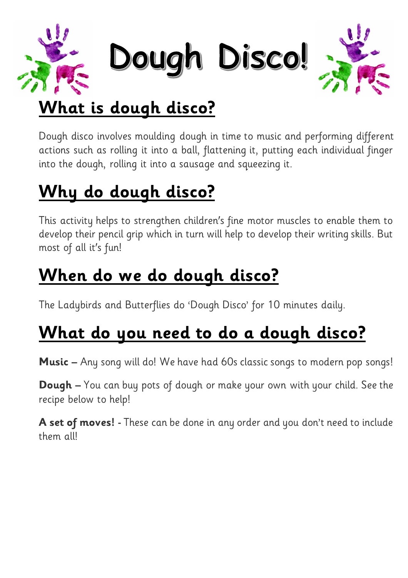

Dough Disco!



## **What is dough disco?**

Dough disco involves moulding dough in time to music and performing different actions such as rolling it into a ball, flattening it, putting each individual finger into the dough, rolling it into a sausage and squeezing it.

# **Why do dough disco?**

This activity helps to strengthen children's fine motor muscles to enable them to develop their pencil grip which in turn will help to develop their writing skills. But most of all it's fun!

## **When do we do dough disco?**

The Ladybirds and Butterflies do 'Dough Disco' for 10 minutes daily.

## **What do you need to do a dough disco?**

**Music –** Any song will do! We have had 60s classic songs to modern pop songs!

**Dough –** You can buy pots of dough or make your own with your child. See the recipe below to help!

**A set of moves! -** These can be done in any order and you don't need to include them all!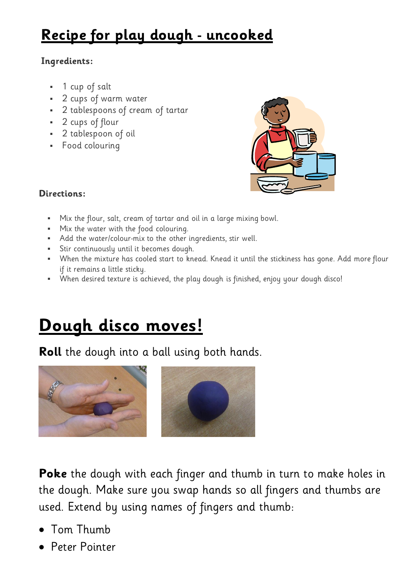### **Recipe for play dough - uncooked**

### **Ingredients:**

- 1 cup of salt
- 2 cups of warm water
- 2 tablespoons of cream of tartar
- 2 cups of flour
- 2 tablespoon of oil
- Food colouring



### **Directions:**

- Mix the flour, salt, cream of tartar and oil in a large mixing bowl.
- Mix the water with the food colouring.
- Add the water/colour-mix to the other ingredients, stir well.
- Stir continuously until it becomes dough.
- When the mixture has cooled start to knead. Knead it until the stickiness has gone. Add more flour if it remains a little sticky.
- When desired texture is achieved, the play dough is finished, enjoy your dough disco!

## **Dough disco moves!**

**Roll** the dough into a ball using both hands.



**Poke** the dough with each finger and thumb in turn to make holes in the dough. Make sure you swap hands so all fingers and thumbs are used. Extend by using names of fingers and thumb:

- Tom Thumb
- Peter Pointer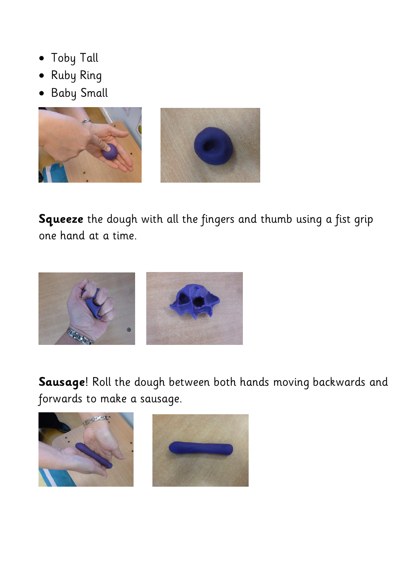- Toby Tall
- Ruby Ring
- · Baby Small



**Squeeze** the dough with all the fingers and thumb using a fist grip one hand at a time.



**Sausage**! Roll the dough between both hands moving backwards and forwards to make a sausage.